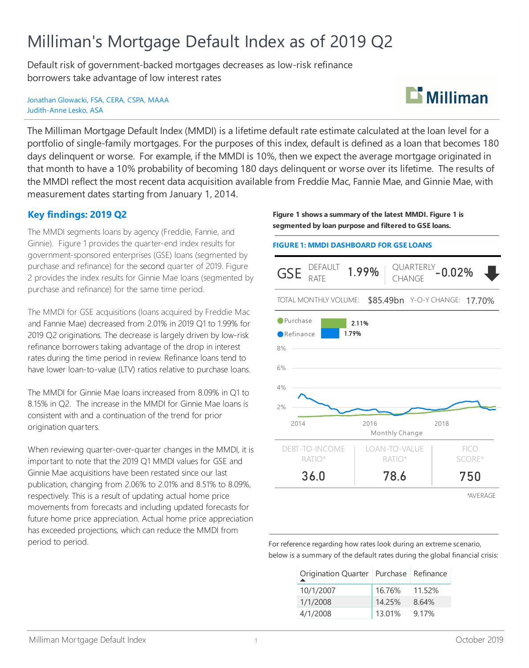# Milliman's Mortgage Default Index as of 2019 Q2

Default risk of government-backed mortgages decreases as low-risk refinance borrowers take advantage of low interest rates

Jonathan Glowacki, FSA, CERA, CSPA, MAAA Judith-Anne Lesko, ASA



The Milliman Mortgage Default Index (MMDI) is a lifetime default rate estimate calculated at the loan level for a portfolio of single-family mortgages. For the purposes of this index, default is defined as a loan that becomes 180 days delinquent or worse. For example, if the MMDI is 10%, then we expect the average mortgage originated in that month to have a 10% probability of becoming 180 days delinquent or worse over its lifetime. The results of the MMDI reflect the most recent data acquisition available from Freddie Mac, Fannie Mae, and Ginnie Mae, with measurement dates starting from January 1, 2014.

# **Key findings: 2019 Q2**

The MMDI segments loans by agency (Freddie, Fannie, and Ginnie). Figure 1 provides the quarter-end index results for government-sponsored enterprises (GSE) loans (segmented by purchase and refinance) for the second quarter of 2019. Figure 2 provides the index results for Ginnie Mae loans (segmented by purchase and refinance) for the same time period.

The MMDI for GSE acquisitions (loans acquired by Freddie Mac and Fannie Mae) decreased from 2.01% in 2019 Q1 to 1.99% for 2019 Q2 originations. The decrease is largely driven by low-risk refinance borrowers taking advantage of the drop in interest rates during the time period in review. Refinance loans tend to have lower loan-to-value (LTV) ratios relative to purchase loans.

The MMDI for Ginnie Mae loans increased from 8.09% in Q1 to 8.15% in Q2. The increase in the MMDI for Ginnie Mae loans is consistent with and a continuation of the trend for prior origination quarters.

When reviewing quarter-over-quarter changes in the MMDI, it is important to note that the 2019 Q1 MMDI values for GSE and Ginnie Mae acquisitions have been restated since our last publication, changing from 2.06% to 2.01% and 8.51% to 8.09%, respectively. This is a result of updating actual home price movements from forecasts and including updated forecasts for future home price appreciation. Actual home price appreciation has exceeded projections, which can reduce the MMDI from period to period.

**Figure 1 shows a summary of the latest MMDI. Figure 1 is segmented by loan purpose and filtered to GSE loans.**

#### **FIGURE 1: MMDI DASHBOARD FOR GSE LOANS**



For reference regarding how rates look during an extreme scenario, below is a summary of the default rates during the global financial crisis:

| Origination Quarter   Purchase   Refinance |        |        |
|--------------------------------------------|--------|--------|
| 10/1/2007                                  | 16.76% | 11.52% |
| 1/1/2008                                   | 14.25% | 8.64%  |
| 4/1/2008                                   | 13.01% | 9.17%  |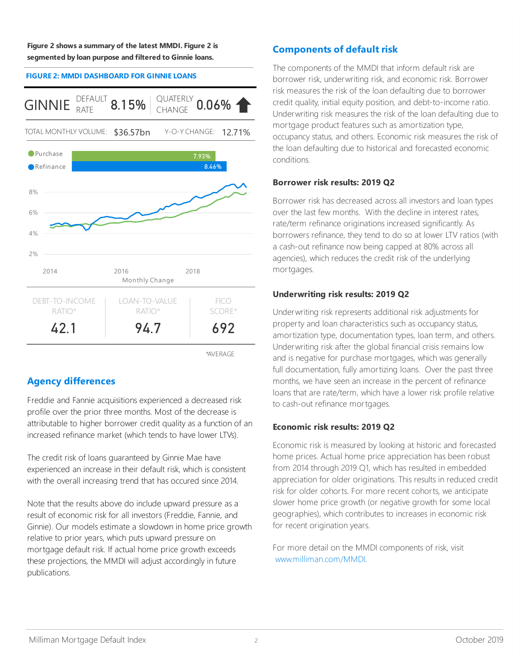**Figure 2 shows a summary of the latest MMDI. Figure 2 is segmented by loan purpose and filtered to Ginnie loans.**

#### **FIGURE 2: MMDI DASHBOARD FOR GINNIE LOANS**



\*AVERAGE

# **Agency differences**

Freddie and Fannie acquisitions experienced a decreased risk profile over the prior three months. Most of the decrease is attributable to higher borrower credit quality as a function of an increased refinance market (which tends to have lower LTVs).

The credit risk of loans guaranteed by Ginnie Mae have experienced an increase in their default risk, which is consistent with the overall increasing trend that has occured since 2014.

Note that the results above do include upward pressure as a result of economic risk for all investors (Freddie, Fannie, and Ginnie). Our models estimate a slowdown in home price growth relative to prior years, which puts upward pressure on mortgage default risk. If actual home price growth exceeds these projections, the MMDI will adjust accordingly in future publications.

## **Components of default risk**

The components of the MMDI that inform default risk are borrower risk, underwriting risk, and economic risk. Borrower risk measures the risk of the loan defaulting due to borrower credit quality, initial equity position, and debt-to-income ratio. Underwriting risk measures the risk of the loan defaulting due to mortgage product features such as amortization type, occupancy status, and others. Economic risk measures the risk of the loan defaulting due to historical and forecasted economic conditions.

### **Borrower risk results: 2019 Q2**

Borrower risk has decreased across all investors and loan types over the last few months. With the decline in interest rates, rate/term refinance originations increased significantly. As borrowers refinance, they tend to do so at lower LTV ratios (with a cash-out refinance now being capped at 80% across all agencies), which reduces the credit risk of the underlying mortgages.

### **Underwriting risk results: 2019 Q2**

Underwriting risk represents additional risk adjustments for property and loan characteristics such as occupancy status, amortization type, documentation types, loan term, and others. Underwriting risk after the global financial crisis remains low and is negative for purchase mortgages, which was generally full documentation, fully amortizing loans. Over the past three months, we have seen an increase in the percent of refinance loans that are rate/term, which have a lower risk profile relative to cash-out refinance mortgages.

### **Economic risk results: 2019 Q2**

Economic risk is measured by looking at historic and forecasted home prices. Actual home price appreciation has been robust from 2014 through 2019 Q1, which has resulted in embedded appreciation for older originations. This results in reduced credit risk for older cohorts. For more recent cohorts, we anticipate slower home price growth (or negative growth for some local geographies), which contributes to increases in economic risk for recent origination years.

For more detail on the MMDI components of risk, visit www.milliman.com/MMDI.